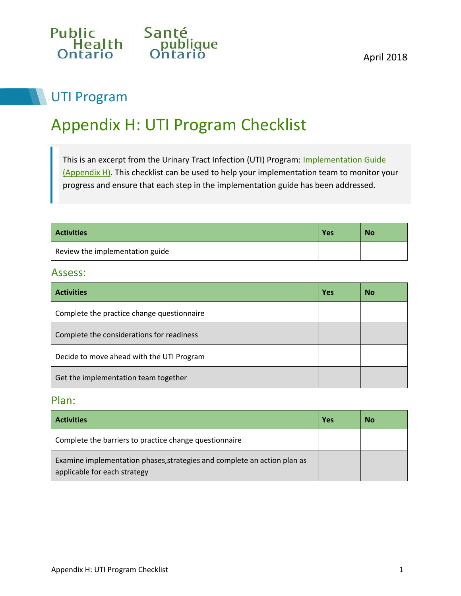

# UTI Program

# Appendix H: UTI Program Checklist

This is an excerpt from the Urinary Tract Infection (UTI) Program: Implementation Guide [\(Appendix H\).](http://www.publichealthontario.ca/en/BrowseByTopic/IPAC/Documents/UTI_Program_Implementation_Guide.pdf) This checklist can be used to help your implementation team to monitor your progress and ensure that each step in the implementation guide has been addressed.

| <b>Activities</b>               | Yes | <b>No</b> |
|---------------------------------|-----|-----------|
| Review the implementation guide |     |           |

#### Assess:

| <b>Activities</b>                          | <b>Yes</b> | <b>No</b> |
|--------------------------------------------|------------|-----------|
| Complete the practice change questionnaire |            |           |
| Complete the considerations for readiness  |            |           |
| Decide to move ahead with the UTI Program  |            |           |
| Get the implementation team together       |            |           |

### Plan:

| <b>Activities</b>                                                                                        | Yes | <b>No</b> |
|----------------------------------------------------------------------------------------------------------|-----|-----------|
| Complete the barriers to practice change questionnaire                                                   |     |           |
| Examine implementation phases, strategies and complete an action plan as<br>applicable for each strategy |     |           |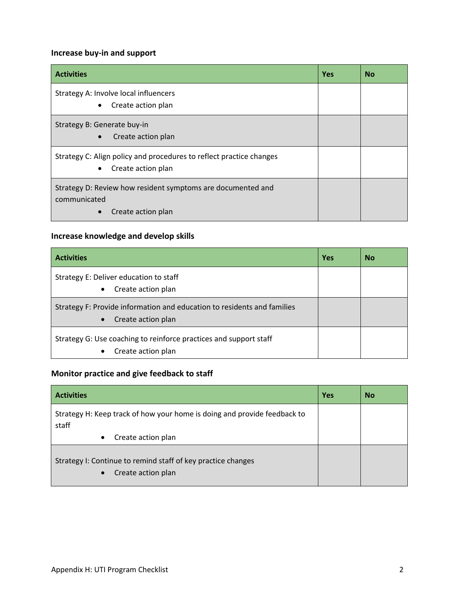#### **Increase buy-in and support**

| <b>Activities</b>                                                                                      | <b>Yes</b> | <b>No</b> |
|--------------------------------------------------------------------------------------------------------|------------|-----------|
| Strategy A: Involve local influencers<br>Create action plan<br>$\bullet$                               |            |           |
| Strategy B: Generate buy-in<br>Create action plan<br>$\bullet$                                         |            |           |
| Strategy C: Align policy and procedures to reflect practice changes<br>Create action plan<br>$\bullet$ |            |           |
| Strategy D: Review how resident symptoms are documented and<br>communicated<br>Create action plan      |            |           |

#### **Increase knowledge and develop skills**

| <b>Activities</b>                                                                                          | Yes | <b>No</b> |
|------------------------------------------------------------------------------------------------------------|-----|-----------|
| Strategy E: Deliver education to staff<br>Create action plan<br>$\bullet$                                  |     |           |
| Strategy F: Provide information and education to residents and families<br>Create action plan<br>$\bullet$ |     |           |
| Strategy G: Use coaching to reinforce practices and support staff<br>Create action plan<br>$\bullet$       |     |           |

#### **Monitor practice and give feedback to staff**

| <b>Activities</b>                                                                               | <b>Yes</b> | <b>No</b> |
|-------------------------------------------------------------------------------------------------|------------|-----------|
| Strategy H: Keep track of how your home is doing and provide feedback to<br>staff               |            |           |
| Create action plan<br>$\bullet$                                                                 |            |           |
| Strategy I: Continue to remind staff of key practice changes<br>Create action plan<br>$\bullet$ |            |           |